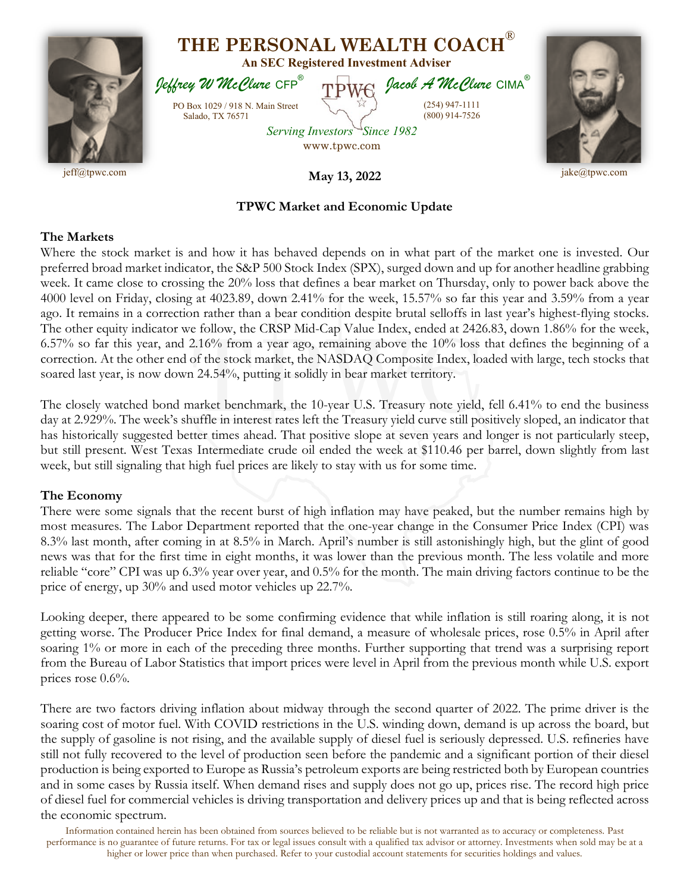

## **TPWC Market and Economic Update**

## **The Markets**

Where the stock market is and how it has behaved depends on in what part of the market one is invested. Our preferred broad market indicator, the S&P 500 Stock Index (SPX), surged down and up for another headline grabbing week. It came close to crossing the 20% loss that defines a bear market on Thursday, only to power back above the 4000 level on Friday, closing at 4023.89, down 2.41% for the week, 15.57% so far this year and 3.59% from a year ago. It remains in a correction rather than a bear condition despite brutal selloffs in last year's highest-flying stocks. The other equity indicator we follow, the CRSP Mid-Cap Value Index, ended at 2426.83, down 1.86% for the week, 6.57% so far this year, and 2.16% from a year ago, remaining above the 10% loss that defines the beginning of a correction. At the other end of the stock market, the NASDAQ Composite Index, loaded with large, tech stocks that soared last year, is now down 24.54%, putting it solidly in bear market territory.

The closely watched bond market benchmark, the 10-year U.S. Treasury note yield, fell 6.41% to end the business day at 2.929%. The week's shuffle in interest rates left the Treasury yield curve still positively sloped, an indicator that has historically suggested better times ahead. That positive slope at seven years and longer is not particularly steep, but still present. West Texas Intermediate crude oil ended the week at \$110.46 per barrel, down slightly from last week, but still signaling that high fuel prices are likely to stay with us for some time.

## **The Economy**

There were some signals that the recent burst of high inflation may have peaked, but the number remains high by most measures. The Labor Department reported that the one-year change in the Consumer Price Index (CPI) was 8.3% last month, after coming in at 8.5% in March. April's number is still astonishingly high, but the glint of good news was that for the first time in eight months, it was lower than the previous month. The less volatile and more reliable "core" CPI was up 6.3% year over year, and 0.5% for the month. The main driving factors continue to be the price of energy, up 30% and used motor vehicles up 22.7%.

Looking deeper, there appeared to be some confirming evidence that while inflation is still roaring along, it is not getting worse. The Producer Price Index for final demand, a measure of wholesale prices, rose 0.5% in April after soaring 1% or more in each of the preceding three months. Further supporting that trend was a surprising report from the Bureau of Labor Statistics that import prices were level in April from the previous month while U.S. export prices rose 0.6%.

There are two factors driving inflation about midway through the second quarter of 2022. The prime driver is the soaring cost of motor fuel. With COVID restrictions in the U.S. winding down, demand is up across the board, but the supply of gasoline is not rising, and the available supply of diesel fuel is seriously depressed. U.S. refineries have still not fully recovered to the level of production seen before the pandemic and a significant portion of their diesel production is being exported to Europe as Russia's petroleum exports are being restricted both by European countries and in some cases by Russia itself. When demand rises and supply does not go up, prices rise. The record high price of diesel fuel for commercial vehicles is driving transportation and delivery prices up and that is being reflected across the economic spectrum.

Information contained herein has been obtained from sources believed to be reliable but is not warranted as to accuracy or completeness. Past performance is no guarantee of future returns. For tax or legal issues consult with a qualified tax advisor or attorney. Investments when sold may be at a higher or lower price than when purchased. Refer to your custodial account statements for securities holdings and values.